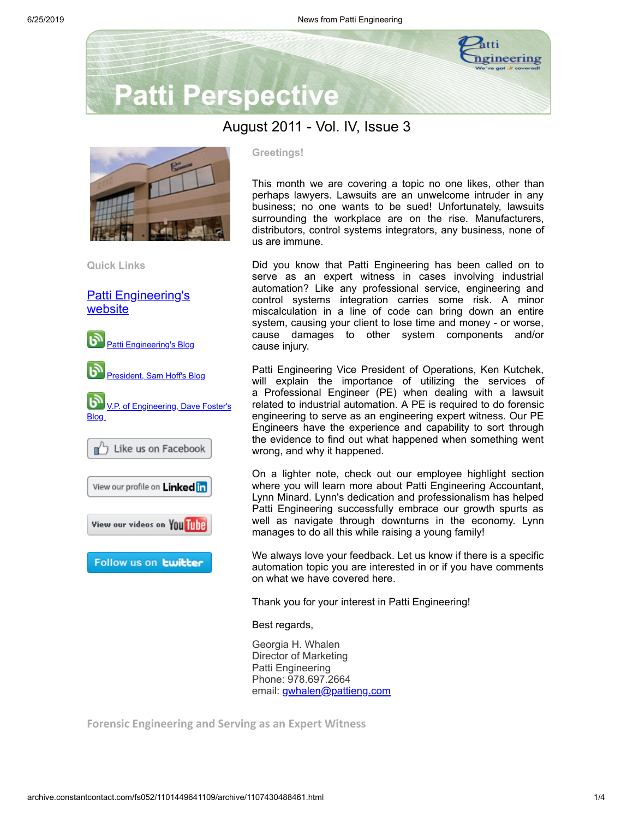

# **Patti Perspective**

# August 2011 - Vol. IV, Issue 3



**Quick Links**

[Patti Engineering's](http://www.pattieng.com/) website



### **Greetings!**

This month we are covering a topic no one likes, other than perhaps lawyers. Lawsuits are an unwelcome intruder in any business; no one wants to be sued! Unfortunately, lawsuits surrounding the workplace are on the rise. Manufacturers, distributors, control systems integrators, any business, none of us are immune.

Did you know that Patti Engineering has been called on to serve as an expert witness in cases involving industrial automation? Like any professional service, engineering and control systems integration carries some risk. A minor miscalculation in a line of code can bring down an entire system, causing your client to lose time and money - or worse, cause damages to other system components and/or cause injury.

Patti Engineering Vice President of Operations, Ken Kutchek, will explain the importance of utilizing the services of a Professional Engineer (PE) when dealing with a lawsuit related to industrial automation. A PE is required to do forensic engineering to serve as an engineering expert witness. Our PE Engineers have the experience and capability to sort through the evidence to find out what happened when something went wrong, and why it happened.

On a lighter note, check out our employee highlight section where you will learn more about Patti Engineering Accountant, Lynn Minard. Lynn's dedication and professionalism has helped Patti Engineering successfully embrace our growth spurts as well as navigate through downturns in the economy. Lynn manages to do all this while raising a young family!

We always love your feedback. Let us know if there is a specific automation topic you are interested in or if you have comments on what we have covered here.

Thank you for your interest in Patti Engineering!

Best regards,

Georgia H. Whalen Director of Marketing Patti Engineering Phone: 978.697.2664 email: [gwhalen@pattieng.com](mailto:gwhalen@pattieng.com)

**Forensic Engineering and Serving as an Expert Witness**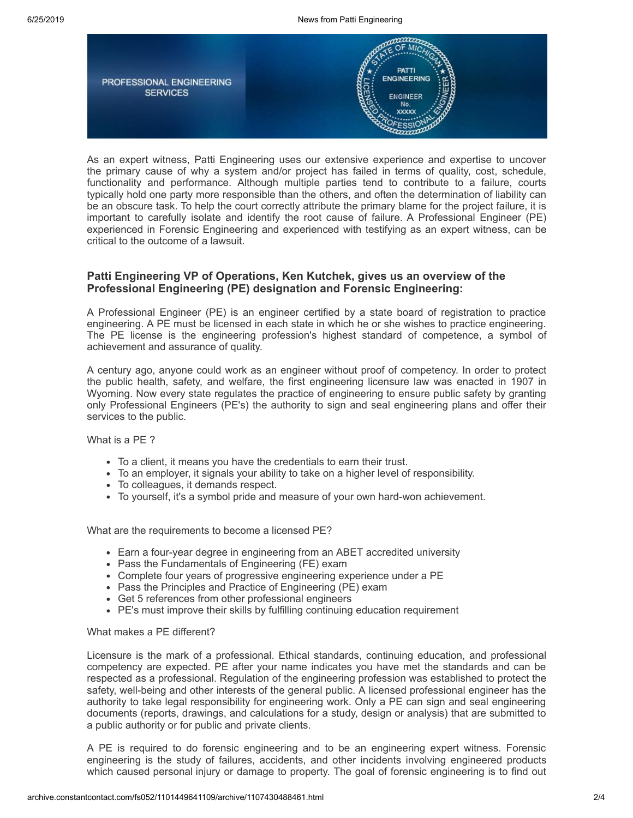

As an expert witness, Patti Engineering uses our extensive experience and expertise to uncover the primary cause of why a system and/or project has failed in terms of quality, cost, schedule, functionality and performance. Although multiple parties tend to contribute to a failure, courts typically hold one party more responsible than the others, and often the determination of liability can be an obscure task. To help the court correctly attribute the primary blame for the project failure, it is important to carefully isolate and identify the root cause of failure. A Professional Engineer (PE) experienced in Forensic Engineering and experienced with testifying as an expert witness, can be critical to the outcome of a lawsuit.

# **Patti Engineering VP of Operations, Ken Kutchek, gives us an overview of the Professional Engineering (PE) designation and Forensic Engineering:**

A Professional Engineer (PE) is an engineer certified by a state board of registration to practice engineering. A PE must be licensed in each state in which he or she wishes to practice engineering. The PE license is the engineering profession's highest standard of competence, a symbol of achievement and assurance of quality.

A century ago, anyone could work as an engineer without proof of competency. In order to protect the public health, safety, and welfare, the first engineering licensure law was enacted in 1907 in Wyoming. Now every state regulates the practice of engineering to ensure public safety by granting only Professional Engineers (PE's) the authority to sign and seal engineering plans and offer their services to the public.

What is a PE ?

- To a client, it means you have the credentials to earn their trust.
- To an employer, it signals your ability to take on a higher level of responsibility.
- To colleagues, it demands respect.
- To yourself, it's a symbol pride and measure of your own hard-won achievement.

What are the requirements to become a licensed PE?

- Earn a four-year degree in engineering from an ABET accredited university
- Pass the Fundamentals of Engineering (FE) exam
- Complete four years of progressive engineering experience under a PE
- Pass the Principles and Practice of Engineering (PE) exam
- Get 5 references from other professional engineers
- PE's must improve their skills by fulfilling continuing education requirement

What makes a PE different?

Licensure is the mark of a professional. Ethical standards, continuing education, and professional competency are expected. PE after your name indicates you have met the standards and can be respected as a professional. Regulation of the engineering profession was established to protect the safety, well-being and other interests of the general public. A licensed professional engineer has the authority to take legal responsibility for engineering work. Only a PE can sign and seal engineering documents (reports, drawings, and calculations for a study, design or analysis) that are submitted to a public authority or for public and private clients.

A PE is required to do forensic engineering and to be an engineering expert witness. Forensic engineering is the study of failures, accidents, and other incidents involving engineered products which caused personal injury or damage to property. The goal of forensic engineering is to find out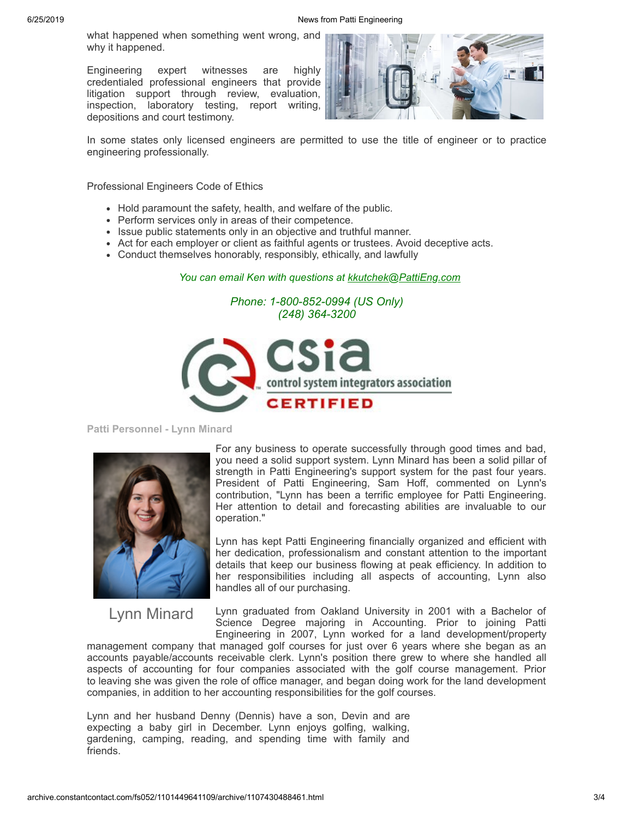what happened when something went wrong, and why it happened.

Engineering expert witnesses are highly credentialed professional engineers that provide litigation support through review, evaluation, inspection, laboratory testing, report writing, depositions and court testimony.



In some states only licensed engineers are permitted to use the title of engineer or to practice engineering professionally.

Professional Engineers Code of Ethics

- Hold paramount the safety, health, and welfare of the public.
- Perform services only in areas of their competence.
- Issue public statements only in an objective and truthful manner.
- Act for each employer or client as faithful agents or trustees. Avoid deceptive acts.
- Conduct themselves honorably, responsibly, ethically, and lawfully

# *You can email Ken with questions at [kkutchek@PattiEng.com](mailto:kkutchek@PattiEng.com)*

### *Phone: 1-800-852-0994 (US Only) (248) 364-3200*



**Patti Personnel - Lynn Minard**



Lynn Minard

For any business to operate successfully through good times and bad, you need a solid support system. Lynn Minard has been a solid pillar of strength in Patti Engineering's support system for the past four years. President of Patti Engineering, Sam Hoff, commented on Lynn's contribution, "Lynn has been a terrific employee for Patti Engineering. Her attention to detail and forecasting abilities are invaluable to our operation."

Lynn has kept Patti Engineering financially organized and efficient with her dedication, professionalism and constant attention to the important details that keep our business flowing at peak efficiency. In addition to her responsibilities including all aspects of accounting, Lynn also handles all of our purchasing.

Lynn graduated from Oakland University in 2001 with a Bachelor of Science Degree majoring in Accounting. Prior to joining Patti Engineering in 2007, Lynn worked for a land development/property

management company that managed golf courses for just over 6 years where she began as an accounts payable/accounts receivable clerk. Lynn's position there grew to where she handled all aspects of accounting for four companies associated with the golf course management. Prior to leaving she was given the role of office manager, and began doing work for the land development companies, in addition to her accounting responsibilities for the golf courses.

Lynn and her husband Denny (Dennis) have a son, Devin and are expecting a baby girl in December. Lynn enjoys golfing, walking, gardening, camping, reading, and spending time with family and friends.